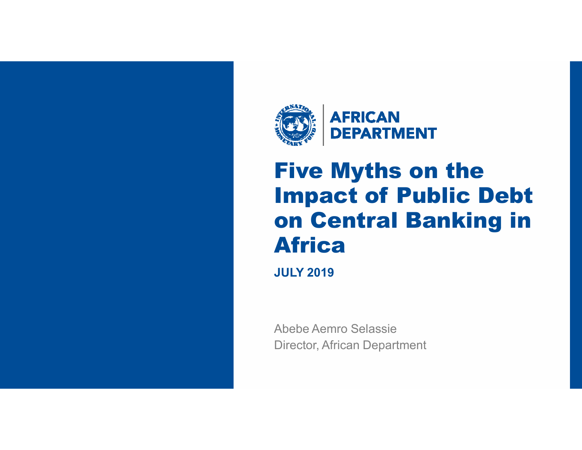



# Five Myths on the Impact of Public Debt on Central Banking in Africa

**JULY 2019**

Abebe Aemro SelassieDirector, African Department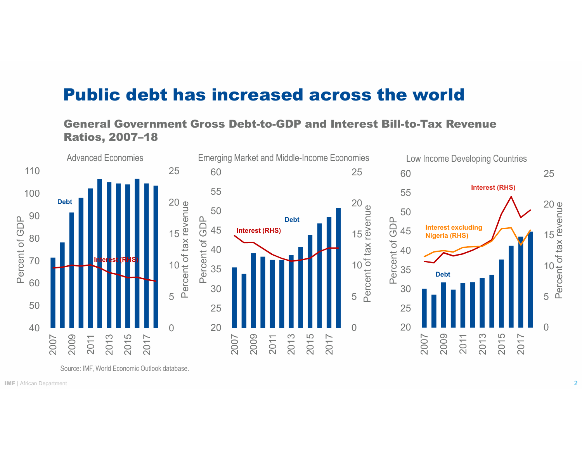#### Public debt has increased across the world

#### General Government Gross Debt-to-GDP and Interest Bill-to-Tax Revenue Ratios, 2007–18



Source: IMF, World Economic Outlook database.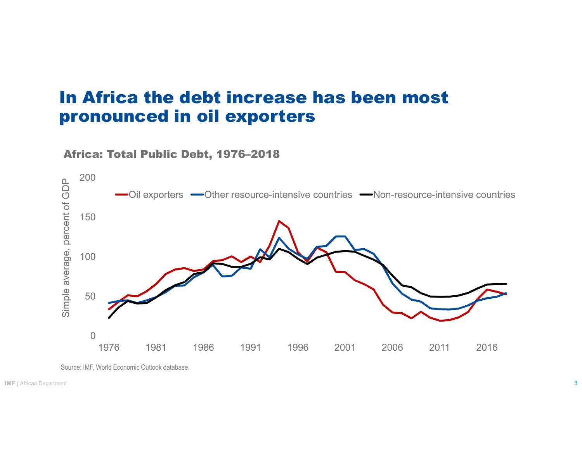#### In Africa the debt increase has been most pronounced in oil exporters

#### Africa: Total Public Debt, 1976–2018



Source: IMF, World Economic Outlook database.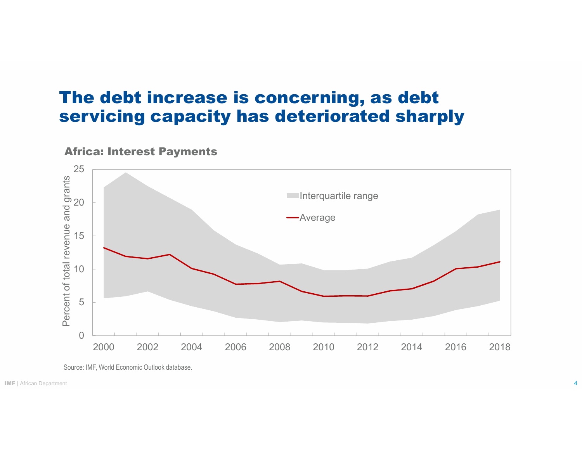#### The debt increase is concerning, as debt servicing capacity has deteriorated sharply

#### Africa: Interest Payments



Source: IMF, World Economic Outlook database.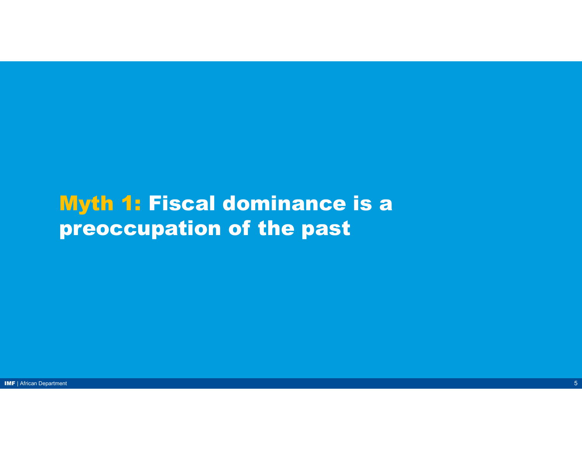## Myth 1: Fiscal dominance is a preoccupation of the past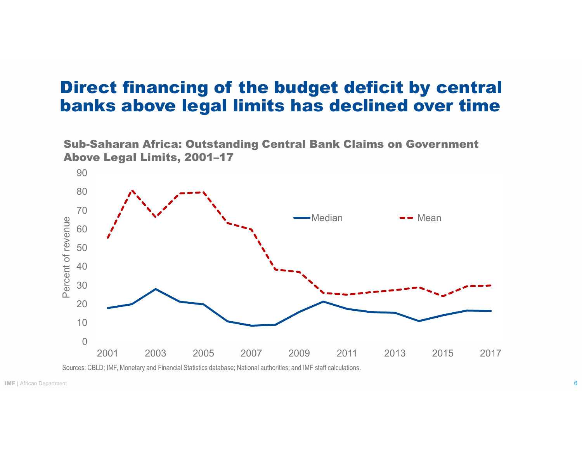#### Direct financing of the budget deficit by central banks above legal limits has declined over time





Sources: CBLD; IMF, Monetary and Financial Statistics database; National authorities; and IMF staff calculations.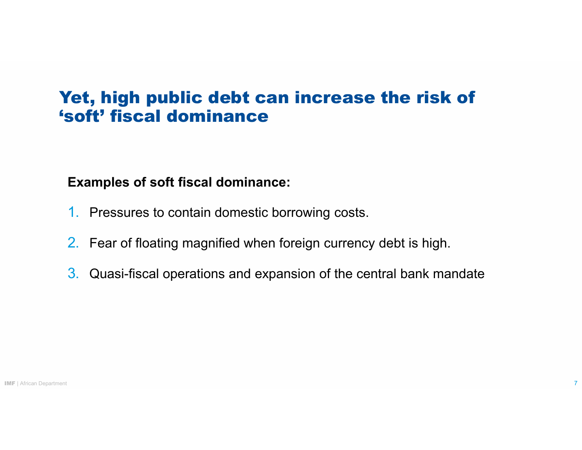### Yet, high public debt can increase the risk of'soft' fiscal dominance

#### **Examples of soft fiscal dominance:**

- 1. Pressures to contain domestic borrowing costs.
- 2. Fear of floating magnified when foreign currency debt is high.
- 3.Quasi-fiscal operations and expansion of the central bank mandate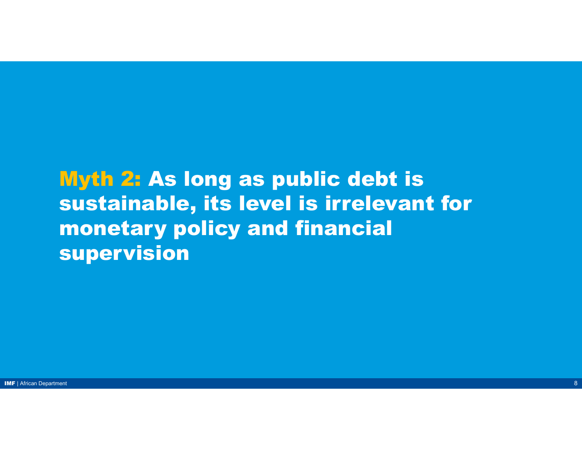## Myth 2: As long as public debt is sustainable, its level is irrelevant for monetary policy and financial supervision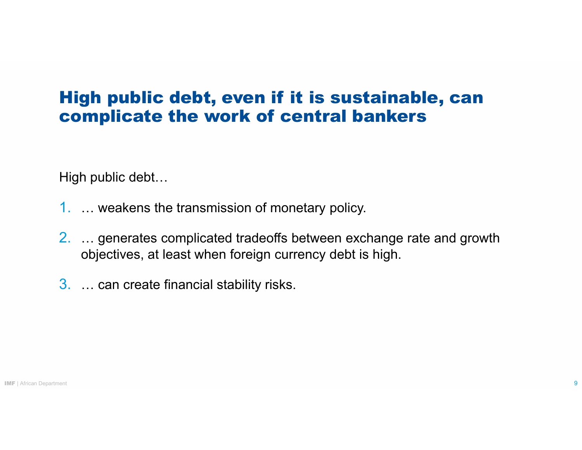### High public debt, even if it is sustainable, can complicate the work of central bankers

High public debt...

- 1. ... weakens the transmission of monetary policy.
- $2. \ldots$  generates complicated tradeoffs between exchange rate and growth objectives, at least when foreign currency debt is high.
- $3. \dots$  can create financial stability risks.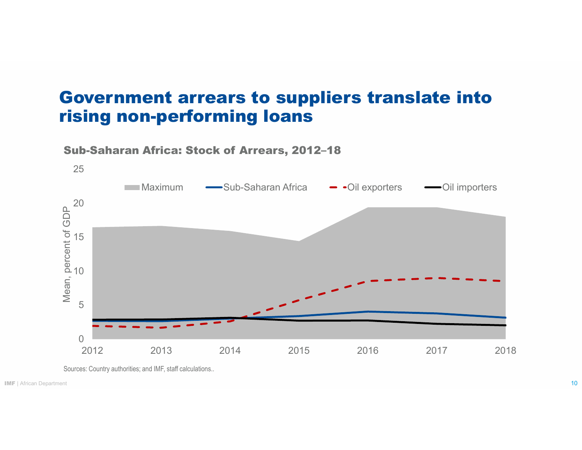#### Government arrears to suppliers translate into rising non-performing loans



Sub-Saharan Africa: Stock of Arrears, 2012**–**18

Sources: Country authorities; and IMF, staff calculations..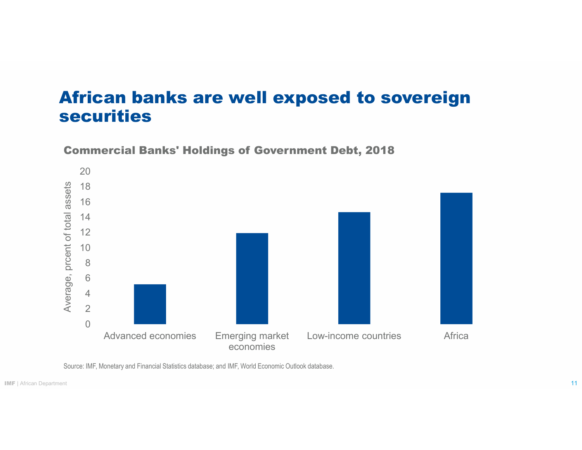#### African banks are well exposed to sovereign securities



Commercial Banks' Holdings of Government Debt, 2018

Source: IMF, Monetary and Financial Statistics database; and IMF, World Economic Outlook database.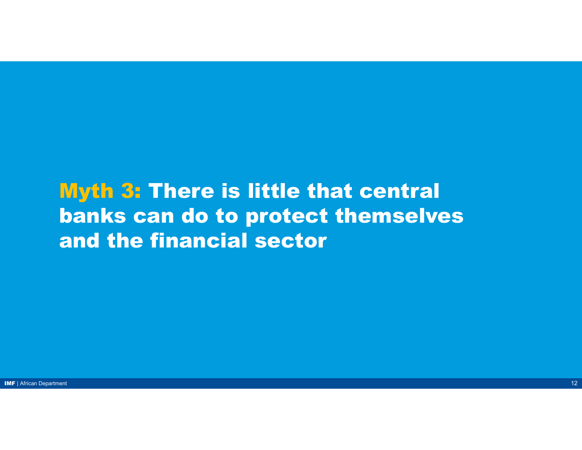## Myth 3: There is little that central banks can do to protect themselves and the financial sector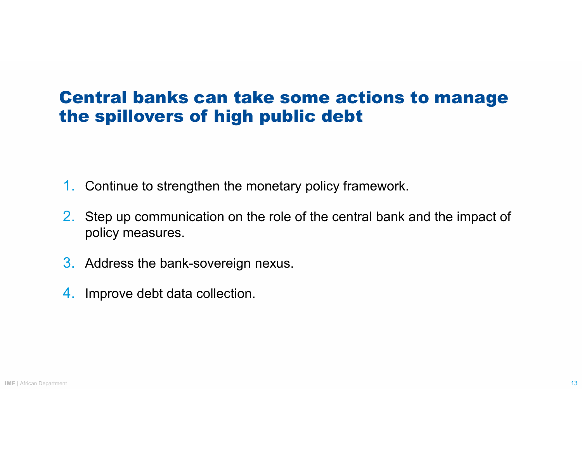### Central banks can take some actions to manage the spillovers of high public debt

- **1. Continue to strengthen the monetary policy framework.**
- 2. Step up communication on the role of the central bank and the impact of policy measures.
- 3. Address the bank-sovereign nexus.
- 4. Improve debt data collection.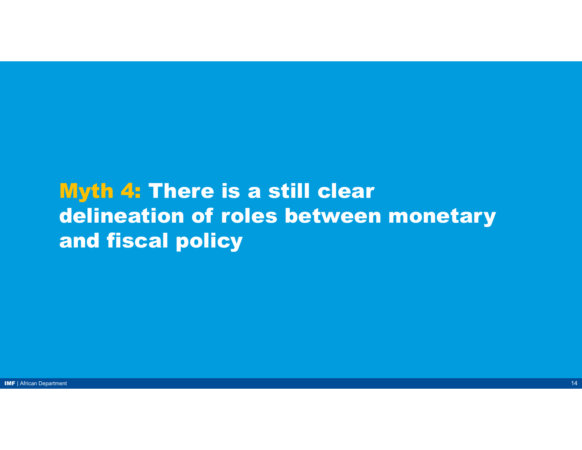## Myth 4: There is a still clear delineation of roles between monetary and fiscal policy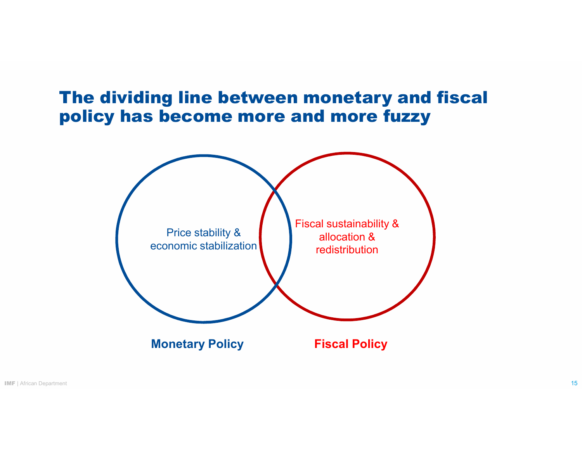

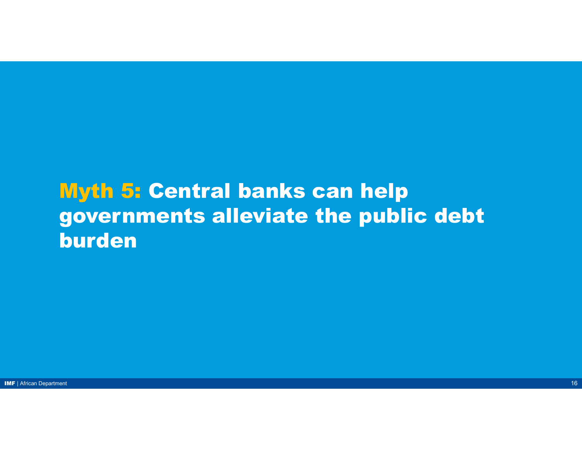## Myth 5: Central banks can help governments alleviate the public debt burden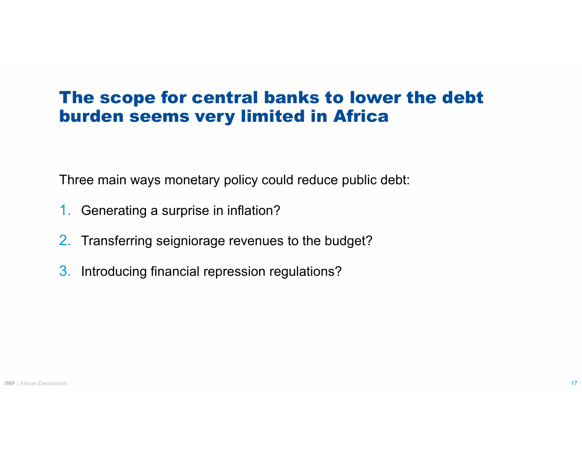### The scope for central banks to lower the debt burden seems very limited in Africa

Three main ways monetary policy could reduce public debt:

- 1. Generating a surprise in inflation?
- 2. Transferring seigniorage revenues to the budget?
- 3. Introducing financial repression regulations?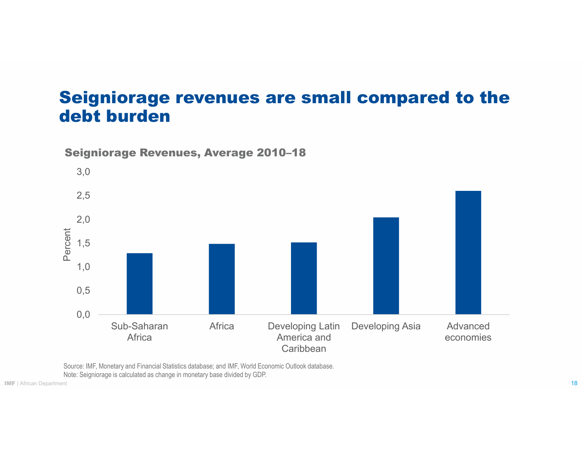#### Seigniorage revenues are small compared to the debt burden



Seigniorage Revenues, Average 2010–18

Source: IMF, Monetary and Financial Statistics database; and IMF, World Economic Outlook database.

Note: Seigniorage is calculated as change in monetary base divided by GDP.